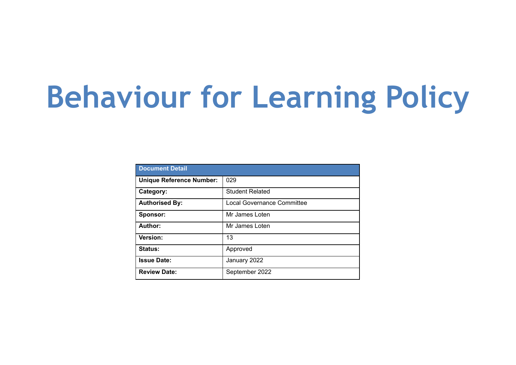# **Behaviour for Learning Policy**

| <b>Document Detail</b>          |                            |  |
|---------------------------------|----------------------------|--|
| <b>Unique Reference Number:</b> | 029                        |  |
| Category:                       | <b>Student Related</b>     |  |
| <b>Authorised By:</b>           | Local Governance Committee |  |
| Sponsor:                        | Mr James Loten             |  |
| Author:                         | Mr James Loten             |  |
| <b>Version:</b>                 | 13                         |  |
| Status:                         | Approved                   |  |
| <b>Issue Date:</b>              | January 2022               |  |
| <b>Review Date:</b>             | September 2022             |  |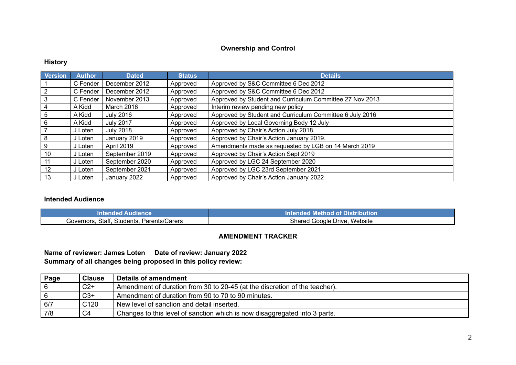#### **Ownership and Control**

#### **History**

| <b>Version</b> | <b>Author</b> | <b>Dated</b>     | <b>Status</b> | <b>Details</b>                                           |
|----------------|---------------|------------------|---------------|----------------------------------------------------------|
|                | C Fender      | December 2012    | Approved      | Approved by S&C Committee 6 Dec 2012                     |
| 2              | C Fender      | December 2012    | Approved      | Approved by S&C Committee 6 Dec 2012                     |
| 3              | C Fender      | November 2013    | Approved      | Approved by Student and Curriculum Committee 27 Nov 2013 |
| 4              | A Kidd        | March 2016       | Approved      | Interim review pending new policy                        |
| 5              | A Kidd        | <b>July 2016</b> | Approved      | Approved by Student and Curriculum Committee 6 July 2016 |
| 6              | A Kidd        | <b>July 2017</b> | Approved      | Approved by Local Governing Body 12 July                 |
|                | J Loten       | <b>July 2018</b> | Approved      | Approved by Chair's Action July 2018.                    |
| 8              | J Loten       | January 2019     | Approved      | Approved by Chair's Action January 2019.                 |
| 9              | J Loten       | April 2019       | Approved      | Amendments made as requested by LGB on 14 March 2019     |
| 10             | J Loten       | September 2019   | Approved      | Approved by Chair's Action Sept 2019                     |
| 11             | J Loten       | September 2020   | Approved      | Approved by LGC 24 September 2020                        |
| 12             | J Loten       | September 2021   | Approved      | Approved by LGC 23rd September 2021                      |
| 13             | J Loten       | January 2022     | Approved      | Approved by Chair's Action January 2022                  |

#### **Intended Audience**

| amer.<br>Augience<br>TOE OF A | ∣ of Distribution<br>Intended Method |
|-------------------------------|--------------------------------------|
| Staf                          | Website                              |
| Students.                     | Shared                               |
| Parents/Carers                | Drive.                               |
| Governors.                    | Google                               |

#### **AMENDMENT TRACKER**

**Name of reviewer: James Loten Date of review: January 2022 Summary of all changes being proposed in this policy review:**

| Page | <b>Clause</b>    | Details of amendment                                                       |
|------|------------------|----------------------------------------------------------------------------|
|      | $C2+$            | Amendment of duration from 30 to 20-45 (at the discretion of the teacher). |
|      | $C3+$            | Amendment of duration from 90 to 70 to 90 minutes.                         |
| 6/7  | C <sub>120</sub> | New level of sanction and detail inserted.                                 |
| 7/8  | C <sub>4</sub>   | Changes to this level of sanction which is now disaggregated into 3 parts. |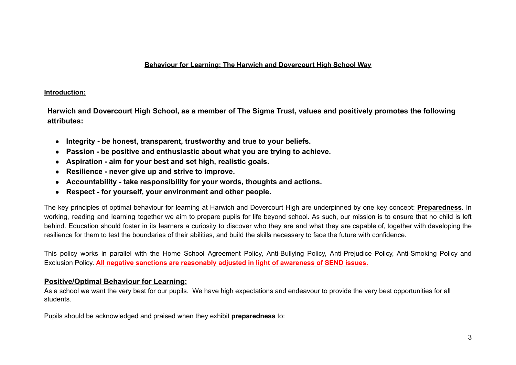#### **Behaviour for Learning: The Harwich and Dovercourt High School Way**

#### **Introduction:**

**Harwich and Dovercourt High School, as a member of The Sigma Trust, values and positively promotes the following attributes:**

- **● Integrity be honest, transparent, trustworthy and true to your beliefs.**
- **● Passion be positive and enthusiastic about what you are trying to achieve.**
- **● Aspiration aim for your best and set high, realistic goals.**
- **● Resilience never give up and strive to improve.**
- **● Accountability take responsibility for your words, thoughts and actions.**
- **● Respect for yourself, your environment and other people.**

The key principles of optimal behaviour for learning at Harwich and Dovercourt High are underpinned by one key concept: **Preparedness**. In working, reading and learning together we aim to prepare pupils for life beyond school. As such, our mission is to ensure that no child is left behind. Education should foster in its learners a curiosity to discover who they are and what they are capable of, together with developing the resilience for them to test the boundaries of their abilities, and build the skills necessary to face the future with confidence.

This policy works in parallel with the Home School Agreement Policy, Anti-Bullying Policy, Anti-Prejudice Policy, Anti-Smoking Policy and Exclusion Policy. **All negative sanctions are reasonably adjusted in light of awareness of SEND issues.**

### **Positive/Optimal Behaviour for Learning:**

As a school we want the very best for our pupils. We have high expectations and endeavour to provide the very best opportunities for all students.

Pupils should be acknowledged and praised when they exhibit **preparedness** to: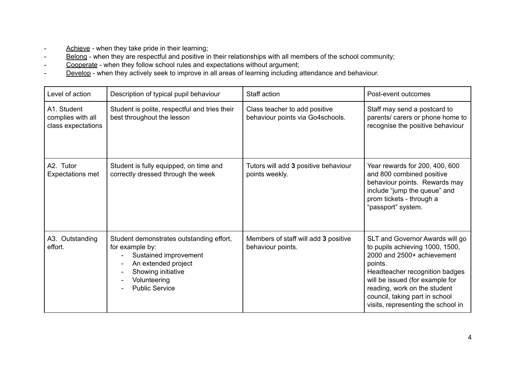- Achieve when they take pride in their learning;
- Belong when they are respectful and positive in their relationships with all members of the school community;
- Cooperate when they follow school rules and expectations without argument;
- Develop when they actively seek to improve in all areas of learning including attendance and behaviour.

| Level of action                                        | Description of typical pupil behaviour                                                                                                                                     | Staff action                                                      | Post-event outcomes                                                                                                                                                                                                                                                                      |
|--------------------------------------------------------|----------------------------------------------------------------------------------------------------------------------------------------------------------------------------|-------------------------------------------------------------------|------------------------------------------------------------------------------------------------------------------------------------------------------------------------------------------------------------------------------------------------------------------------------------------|
| A1. Student<br>complies with all<br>class expectations | Student is polite, respectful and tries their<br>best throughout the lesson                                                                                                | Class teacher to add positive<br>behaviour points via Go4schools. | Staff may send a postcard to<br>parents/ carers or phone home to<br>recognise the positive behaviour                                                                                                                                                                                     |
| A2. Tutor<br><b>Expectations met</b>                   | Student is fully equipped, on time and<br>correctly dressed through the week                                                                                               | Tutors will add 3 positive behaviour<br>points weekly.            | Year rewards for 200, 400, 600<br>and 800 combined positive<br>behaviour points. Rewards may<br>include "jump the queue" and<br>prom tickets - through a<br>"passport" system.                                                                                                           |
| A3. Outstanding<br>effort.                             | Student demonstrates outstanding effort,<br>for example by:<br>Sustained improvement<br>An extended project<br>Showing initiative<br>Volunteering<br><b>Public Service</b> | Members of staff will add 3 positive<br>behaviour points.         | SLT and Governor Awards will go<br>to pupils achieving 1000, 1500,<br>2000 and 2500+ achievement<br>points.<br>Headteacher recognition badges<br>will be issued (for example for<br>reading, work on the student<br>council, taking part in school<br>visits, representing the school in |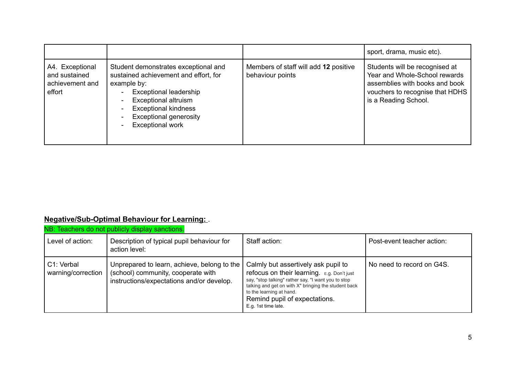|                                                               |                                                                                                                                                                                                                                                         |                                                           | sport, drama, music etc).                                                                                                                                    |
|---------------------------------------------------------------|---------------------------------------------------------------------------------------------------------------------------------------------------------------------------------------------------------------------------------------------------------|-----------------------------------------------------------|--------------------------------------------------------------------------------------------------------------------------------------------------------------|
| A4. Exceptional<br>and sustained<br>achievement and<br>effort | Student demonstrates exceptional and<br>sustained achievement and effort, for<br>example by:<br><b>Exceptional leadership</b><br><b>Exceptional altruism</b><br><b>Exceptional kindness</b><br><b>Exceptional generosity</b><br><b>Exceptional work</b> | Members of staff will add 12 positive<br>behaviour points | Students will be recognised at<br>Year and Whole-School rewards<br>assemblies with books and book<br>vouchers to recognise that HDHS<br>is a Reading School. |

## **Negative/Sub-Optimal Behaviour for Learning:** .

| NB: Teachers do not publicly display sanctions. |                                                                                                                                |                                                                                                                                                                                                                                                                                      |                            |  |
|-------------------------------------------------|--------------------------------------------------------------------------------------------------------------------------------|--------------------------------------------------------------------------------------------------------------------------------------------------------------------------------------------------------------------------------------------------------------------------------------|----------------------------|--|
| Level of action:                                | Description of typical pupil behaviour for<br>action level:                                                                    | Staff action:                                                                                                                                                                                                                                                                        | Post-event teacher action: |  |
| C1: Verbal<br>warning/correction                | Unprepared to learn, achieve, belong to the<br>(school) community, cooperate with<br>instructions/expectations and/or develop. | Calmly but assertively ask pupil to<br>refocus on their learning. E.g. Don't just<br>say, "stop talking" rather say, "I want you to stop<br>talking and get on with X" bringing the student back<br>to the learning at hand.<br>Remind pupil of expectations.<br>E.g. 1st time late. | No need to record on G4S.  |  |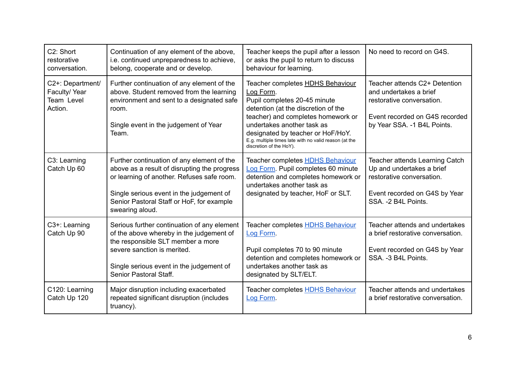| C <sub>2</sub> : Short<br>restorative<br>conversation.    | Continuation of any element of the above,<br>i.e. continued unpreparedness to achieve,<br>belong, cooperate and or develop.                                                                                                                          | Teacher keeps the pupil after a lesson<br>or asks the pupil to return to discuss<br>behaviour for learning.                                                                                                                                                                                                              | No need to record on G4S.                                                                                                                              |
|-----------------------------------------------------------|------------------------------------------------------------------------------------------------------------------------------------------------------------------------------------------------------------------------------------------------------|--------------------------------------------------------------------------------------------------------------------------------------------------------------------------------------------------------------------------------------------------------------------------------------------------------------------------|--------------------------------------------------------------------------------------------------------------------------------------------------------|
| C2+: Department/<br>Faculty/Year<br>Team Level<br>Action. | Further continuation of any element of the<br>above. Student removed from the learning<br>environment and sent to a designated safe<br>room.<br>Single event in the judgement of Year<br>Team.                                                       | Teacher completes <b>HDHS Behaviour</b><br>Log Form.<br>Pupil completes 20-45 minute<br>detention (at the discretion of the<br>teacher) and completes homework or<br>undertakes another task as<br>designated by teacher or HoF/HoY.<br>E.g. multiple times late with no valid reason (at the<br>discretion of the HoY). | Teacher attends C2+ Detention<br>and undertakes a brief<br>restorative conversation.<br>Event recorded on G4S recorded<br>by Year SSA. - 1 B4L Points. |
| C3: Learning<br>Catch Up 60                               | Further continuation of any element of the<br>above as a result of disrupting the progress<br>or learning of another. Refuses safe room.<br>Single serious event in the judgement of<br>Senior Pastoral Staff or HoF, for example<br>swearing aloud. | Teacher completes <b>HDHS Behaviour</b><br>Log Form. Pupil completes 60 minute<br>detention and completes homework or<br>undertakes another task as<br>designated by teacher, HoF or SLT.                                                                                                                                | Teacher attends Learning Catch<br>Up and undertakes a brief<br>restorative conversation.<br>Event recorded on G4S by Year<br>SSA. - 2 B4L Points.      |
| C <sub>3+</sub> : Learning<br>Catch Up 90                 | Serious further continuation of any element<br>of the above whereby in the judgement of<br>the responsible SLT member a more<br>severe sanction is merited.<br>Single serious event in the judgement of<br>Senior Pastoral Staff.                    | Teacher completes <b>HDHS Behaviour</b><br>Log Form.<br>Pupil completes 70 to 90 minute<br>detention and completes homework or<br>undertakes another task as<br>designated by SLT/ELT.                                                                                                                                   | Teacher attends and undertakes<br>a brief restorative conversation.<br>Event recorded on G4S by Year<br>SSA. - 3 B4L Points.                           |
| C120: Learning<br>Catch Up 120                            | Major disruption including exacerbated<br>repeated significant disruption (includes<br>truancy).                                                                                                                                                     | Teacher completes <b>HDHS Behaviour</b><br>Log Form.                                                                                                                                                                                                                                                                     | Teacher attends and undertakes<br>a brief restorative conversation.                                                                                    |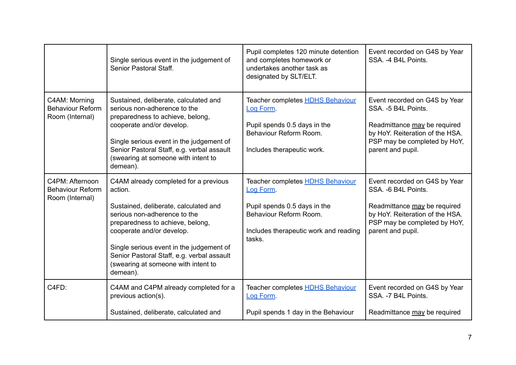|                                                               | Single serious event in the judgement of<br>Senior Pastoral Staff.                                                                                                                                                                                                                                                                      | Pupil completes 120 minute detention<br>and completes homework or<br>undertakes another task as<br>designated by SLT/ELT.                                         | Event recorded on G4S by Year<br>SSA. -4 B4L Points.                                                                                                                          |
|---------------------------------------------------------------|-----------------------------------------------------------------------------------------------------------------------------------------------------------------------------------------------------------------------------------------------------------------------------------------------------------------------------------------|-------------------------------------------------------------------------------------------------------------------------------------------------------------------|-------------------------------------------------------------------------------------------------------------------------------------------------------------------------------|
| C4AM: Morning<br><b>Behaviour Reform</b><br>Room (Internal)   | Sustained, deliberate, calculated and<br>serious non-adherence to the<br>preparedness to achieve, belong,<br>cooperate and/or develop.<br>Single serious event in the judgement of<br>Senior Pastoral Staff, e.g. verbal assault<br>(swearing at someone with intent to<br>demean).                                                     | Teacher completes <b>HDHS Behaviour</b><br>Log Form.<br>Pupil spends 0.5 days in the<br>Behaviour Reform Room.<br>Includes therapeutic work.                      | Event recorded on G4S by Year<br>SSA. - 5 B4L Points.<br>Readmittance may be required<br>by HoY. Reiteration of the HSA.<br>PSP may be completed by HoY,<br>parent and pupil. |
| C4PM: Afternoon<br><b>Behaviour Reform</b><br>Room (Internal) | C4AM already completed for a previous<br>action.<br>Sustained, deliberate, calculated and<br>serious non-adherence to the<br>preparedness to achieve, belong,<br>cooperate and/or develop.<br>Single serious event in the judgement of<br>Senior Pastoral Staff, e.g. verbal assault<br>(swearing at someone with intent to<br>demean). | Teacher completes <b>HDHS Behaviour</b><br>Log Form.<br>Pupil spends 0.5 days in the<br>Behaviour Reform Room.<br>Includes therapeutic work and reading<br>tasks. | Event recorded on G4S by Year<br>SSA. - 6 B4L Points.<br>Readmittance may be required<br>by HoY. Reiteration of the HSA.<br>PSP may be completed by HoY,<br>parent and pupil. |
| C4FD:                                                         | C4AM and C4PM already completed for a<br>previous action(s).<br>Sustained, deliberate, calculated and                                                                                                                                                                                                                                   | Teacher completes <b>HDHS Behaviour</b><br>Log Form.<br>Pupil spends 1 day in the Behaviour                                                                       | Event recorded on G4S by Year<br>SSA. - 7 B4L Points.<br>Readmittance may be required                                                                                         |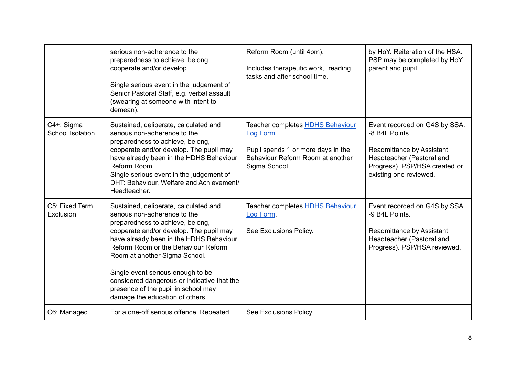|                                | serious non-adherence to the<br>preparedness to achieve, belong,<br>cooperate and/or develop.<br>Single serious event in the judgement of<br>Senior Pastoral Staff, e.g. verbal assault<br>(swearing at someone with intent to<br>demean).                                                                                                                                                                                            | Reform Room (until 4pm).<br>Includes therapeutic work, reading<br>tasks and after school time.                                                  | by HoY. Reiteration of the HSA.<br>PSP may be completed by HoY,<br>parent and pupil.                                                                                 |
|--------------------------------|---------------------------------------------------------------------------------------------------------------------------------------------------------------------------------------------------------------------------------------------------------------------------------------------------------------------------------------------------------------------------------------------------------------------------------------|-------------------------------------------------------------------------------------------------------------------------------------------------|----------------------------------------------------------------------------------------------------------------------------------------------------------------------|
| C4+: Sigma<br>School Isolation | Sustained, deliberate, calculated and<br>serious non-adherence to the<br>preparedness to achieve, belong,<br>cooperate and/or develop. The pupil may<br>have already been in the HDHS Behaviour<br>Reform Room.<br>Single serious event in the judgement of<br>DHT: Behaviour, Welfare and Achievement/<br>Headteacher.                                                                                                               | Teacher completes <b>HDHS Behaviour</b><br>Log Form.<br>Pupil spends 1 or more days in the<br>Behaviour Reform Room at another<br>Sigma School. | Event recorded on G4S by SSA.<br>-8 B4L Points.<br>Readmittance by Assistant<br>Headteacher (Pastoral and<br>Progress). PSP/HSA created or<br>existing one reviewed. |
| C5: Fixed Term<br>Exclusion    | Sustained, deliberate, calculated and<br>serious non-adherence to the<br>preparedness to achieve, belong,<br>cooperate and/or develop. The pupil may<br>have already been in the HDHS Behaviour<br>Reform Room or the Behaviour Reform<br>Room at another Sigma School.<br>Single event serious enough to be<br>considered dangerous or indicative that the<br>presence of the pupil in school may<br>damage the education of others. | Teacher completes <b>HDHS Behaviour</b><br>Log Form.<br>See Exclusions Policy.                                                                  | Event recorded on G4S by SSA.<br>-9 B4L Points.<br>Readmittance by Assistant<br>Headteacher (Pastoral and<br>Progress). PSP/HSA reviewed.                            |
| C6: Managed                    | For a one-off serious offence. Repeated                                                                                                                                                                                                                                                                                                                                                                                               | See Exclusions Policy.                                                                                                                          |                                                                                                                                                                      |